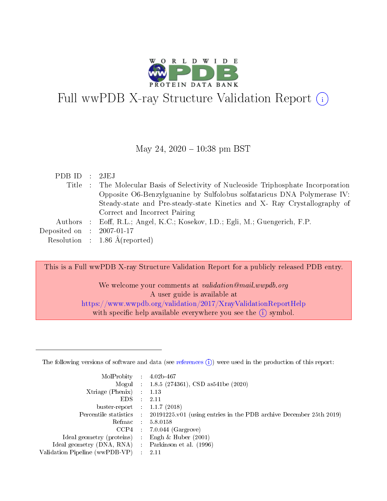

# Full wwPDB X-ray Structure Validation Report  $(i)$

### May 24,  $2020 - 10:38$  pm BST

| PDBID : 2JEJ                |                                                                                     |
|-----------------------------|-------------------------------------------------------------------------------------|
|                             | Title : The Molecular Basis of Selectivity of Nucleoside Triphosphate Incorporation |
|                             | Opposite O6-Benzylguanine by Sulfolobus solfataricus DNA Polymerase IV:             |
|                             | Steady-state and Pre-steady-state Kinetics and X- Ray Crystallography of            |
|                             | Correct and Incorrect Pairing                                                       |
|                             | Authors : Eoff, R.L.; Angel, K.C.; Kosekov, I.D.; Egli, M.; Guengerich, F.P.        |
| Deposited on : $2007-01-17$ |                                                                                     |
|                             | Resolution : $1.86 \text{ Å}$ (reported)                                            |
|                             |                                                                                     |

This is a Full wwPDB X-ray Structure Validation Report for a publicly released PDB entry.

We welcome your comments at *validation@mail.wwpdb.org* A user guide is available at <https://www.wwpdb.org/validation/2017/XrayValidationReportHelp> with specific help available everywhere you see the  $(i)$  symbol.

The following versions of software and data (see [references](https://www.wwpdb.org/validation/2017/XrayValidationReportHelp#references)  $(1)$ ) were used in the production of this report:

| MolProbity :                   |               | $4.02b - 467$                                                               |
|--------------------------------|---------------|-----------------------------------------------------------------------------|
|                                |               | Mogul : $1.8.5$ (274361), CSD as 541be (2020)                               |
| Xtriage (Phenix)               | $\mathcal{L}$ | 1.13                                                                        |
| EDS.                           |               | 2.11                                                                        |
| buster-report : $1.1.7$ (2018) |               |                                                                             |
| Percentile statistics :        |               | $20191225 \text{v}01$ (using entries in the PDB archive December 25th 2019) |
| Refmac :                       |               | 5.8.0158                                                                    |
| CCP4                           |               | $7.0.044$ (Gargrove)                                                        |
| Ideal geometry (proteins) :    |               | Engh $\&$ Huber (2001)                                                      |
| Ideal geometry (DNA, RNA) :    |               | Parkinson et al. (1996)                                                     |
| Validation Pipeline (wwPDB-VP) | ÷             | 2.11                                                                        |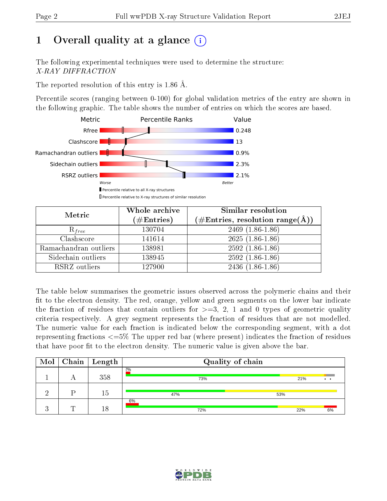# 1 [O](https://www.wwpdb.org/validation/2017/XrayValidationReportHelp#overall_quality)verall quality at a glance  $(i)$

The following experimental techniques were used to determine the structure: X-RAY DIFFRACTION

The reported resolution of this entry is 1.86 Å.

Percentile scores (ranging between 0-100) for global validation metrics of the entry are shown in the following graphic. The table shows the number of entries on which the scores are based.



| Metric                | Whole archive<br>$(\#\mathrm{Entries})$ | Similar resolution<br>$(\#\text{Entries},\, \text{resolution}\; \text{range}(\textup{\AA}))$ |
|-----------------------|-----------------------------------------|----------------------------------------------------------------------------------------------|
| $R_{free}$            | 130704                                  | $2469$ $(1.86-1.86)$                                                                         |
| Clashscore            | 141614                                  | $2625(1.86-1.86)$                                                                            |
| Ramachandran outliers | 138981                                  | $2592(1.86-1.86)$                                                                            |
| Sidechain outliers    | 138945                                  | $2592(1.86-1.86)$                                                                            |
| RSRZ outliers         | 127900                                  | $2436(1.86-1.86)$                                                                            |

The table below summarises the geometric issues observed across the polymeric chains and their fit to the electron density. The red, orange, yellow and green segments on the lower bar indicate the fraction of residues that contain outliers for  $>=3, 2, 1$  and 0 types of geometric quality criteria respectively. A grey segment represents the fraction of residues that are not modelled. The numeric value for each fraction is indicated below the corresponding segment, with a dot representing fractions  $\epsilon=5\%$  The upper red bar (where present) indicates the fraction of residues that have poor fit to the electron density. The numeric value is given above the bar.

| Mol |   | $\mid$ Chain $\mid$ Length | Quality of chain |     |     |                              |
|-----|---|----------------------------|------------------|-----|-----|------------------------------|
|     | O | 358                        | 2%<br>73%        |     | 21% | $\bullet\qquad\bullet\qquad$ |
|     |   | 15                         | 47%              | 53% |     |                              |
|     | ┯ | 18                         | 6%<br>72%        |     | 22% | 6%                           |

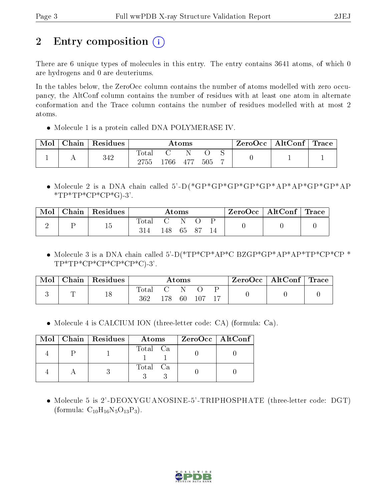# 2 Entry composition  $\left( \cdot \right)$

There are 6 unique types of molecules in this entry. The entry contains 3641 atoms, of which 0 are hydrogens and 0 are deuteriums.

In the tables below, the ZeroOcc column contains the number of atoms modelled with zero occupancy, the AltConf column contains the number of residues with at least one atom in alternate conformation and the Trace column contains the number of residues modelled with at most 2 atoms.

• Molecule 1 is a protein called DNA POLYMERASE IV.

| Mol | Chain | Residues |                          |     | Atoms |     | $\text{ZeroOcc} \mid \text{AltConf} \mid \text{Trace}$ |  |
|-----|-------|----------|--------------------------|-----|-------|-----|--------------------------------------------------------|--|
|     |       | 342      | <b>Total</b><br>$2755\,$ | 766 | - 477 | 505 |                                                        |  |

 Molecule 2 is a DNA chain called 5'-D(\*GP\*GP\*GP\*GP\*GP\*AP\*AP\*GP\*GP\*AP  $*TP*TP*CP*CP*G$ .3'.

| Mol | $\text{Chain}$ | $\vert$ Residues |     |                      | $\rm{Atoms}$ |      | ZeroOcc   AltConf   Trace |  |
|-----|----------------|------------------|-----|----------------------|--------------|------|---------------------------|--|
|     |                | 15               | 314 | $\mathbf{C}$<br>148- | - 65         | . 87 |                           |  |

 Molecule 3 is a DNA chain called 5'-D(\*TP\*CP\*AP\*C BZGP\*GP\*AP\*AP\*TP\*CP\*CP \*  $TP^*TP^*CP^*CP^*CP^*CP^*C$ .3'.

| Mol | Chain   Residues |                  |     | $\rm{Atoms}$ |     | $\text{ZeroOcc}$   AltConf   Trace |  |
|-----|------------------|------------------|-----|--------------|-----|------------------------------------|--|
|     | 18               | Total<br>$362\,$ | 178 | 60 -         | 107 |                                    |  |

Molecule 4 is CALCIUM ION (three-letter code: CA) (formula: Ca).

|  | Mol   Chain   Residues | Atoms    | $ZeroOcc \   \ AltConf \  $ |
|--|------------------------|----------|-----------------------------|
|  |                        | Total Ca |                             |
|  |                        | Total Ca |                             |

 Molecule 5 is 2'-DEOXYGUANOSINE-5'-TRIPHOSPHATE (three-letter code: DGT) (formula:  $C_{10}H_{16}N_5O_{13}P_3$ ).

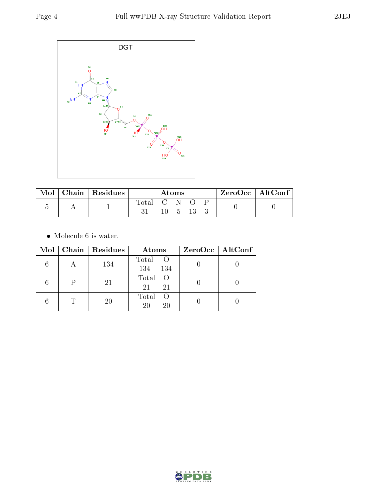

|  | Chain   Residues | Atoms       |  |      | $ZeroOcc \mid AltConf \mid$ |  |  |
|--|------------------|-------------|--|------|-----------------------------|--|--|
|  |                  | Total C N O |  | $-5$ |                             |  |  |

 $\bullet\,$  Molecule 6 is water.

|    | $Mol$   Chain   Residues | Atoms                     | $ZeroOcc \mid AltConf \mid$ |
|----|--------------------------|---------------------------|-----------------------------|
|    | 134                      | Total O<br>134<br>134     |                             |
|    | 21                       | Total O<br>21<br>21       |                             |
| T. | 20                       | Total<br>- ()<br>20<br>20 |                             |

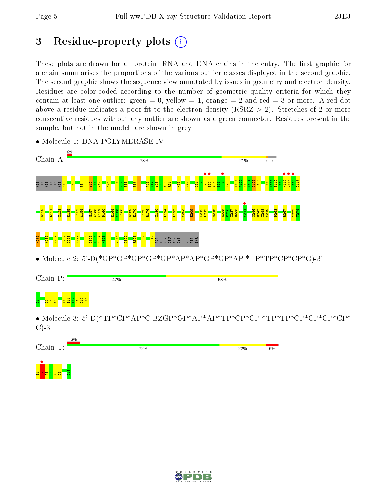# 3 Residue-property plots  $(i)$

These plots are drawn for all protein, RNA and DNA chains in the entry. The first graphic for a chain summarises the proportions of the various outlier classes displayed in the second graphic. The second graphic shows the sequence view annotated by issues in geometry and electron density. Residues are color-coded according to the number of geometric quality criteria for which they contain at least one outlier: green  $= 0$ , yellow  $= 1$ , orange  $= 2$  and red  $= 3$  or more. A red dot above a residue indicates a poor fit to the electron density (RSRZ  $> 2$ ). Stretches of 2 or more consecutive residues without any outlier are shown as a green connector. Residues present in the sample, but not in the model, are shown in grey.



• Molecule 1: DNA POLYMERASE IV



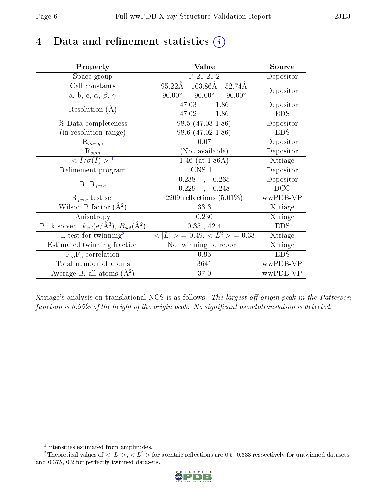# 4 Data and refinement statistics  $(i)$

| Property                                                             | Value                                                    | Source     |
|----------------------------------------------------------------------|----------------------------------------------------------|------------|
| Space group                                                          | P 21 21 2                                                | Depositor  |
| Cell constants                                                       | $103.86\text{\AA}$ 52.74Å<br>$95.22\text{\AA}$           | Depositor  |
| a, b, c, $\alpha$ , $\beta$ , $\gamma$                               | $90.00^{\circ}$ $90.00^{\circ}$<br>$90.00^{\circ}$       |            |
| Resolution $(A)$                                                     | $47.03 - 1.86$                                           | Depositor  |
|                                                                      | 47.02<br>$-1.86$                                         | <b>EDS</b> |
| % Data completeness                                                  | $98.5(47.03-1.86)$                                       | Depositor  |
| (in resolution range)                                                | 98.6 (47.02-1.86)                                        | <b>EDS</b> |
| $R_{merge}$                                                          | 0.07                                                     | Depositor  |
| $\mathbf{R}_{sym}$                                                   | (Not available)                                          | Depositor  |
| $\sqrt{I/\sigma}(I) > 1$                                             | 1.46 (at $1.86\text{\AA}$ )                              | Xtriage    |
| Refinement program                                                   | $\overline{\text{C}}$ NS 1.1                             | Depositor  |
| $R, R_{free}$                                                        | $0.238$ , $0.265$                                        | Depositor  |
|                                                                      | $0.229$ ,<br>0.248                                       | DCC        |
| $R_{free}$ test set                                                  | 2209 reflections $(5.01\%)$                              | wwPDB-VP   |
| Wilson B-factor $(A^2)$                                              | 33.3                                                     | Xtriage    |
| Anisotropy                                                           | 0.230                                                    | Xtriage    |
| Bulk solvent $k_{sol}(e/\mathring{A}^3)$ , $B_{sol}(\mathring{A}^2)$ | 0.35, 42.4                                               | <b>EDS</b> |
| L-test for twinning <sup>2</sup>                                     | $\langle  L  \rangle = 0.49, \langle L^2 \rangle = 0.33$ | Xtriage    |
| Estimated twinning fraction                                          | No twinning to report.                                   | Xtriage    |
| $F_o, F_c$ correlation                                               | 0.95                                                     | <b>EDS</b> |
| Total number of atoms                                                | 3641                                                     | wwPDB-VP   |
| Average B, all atoms $(A^2)$                                         | 37.0                                                     | wwPDB-VP   |

Xtriage's analysis on translational NCS is as follows: The largest off-origin peak in the Patterson function is  $6.95\%$  of the height of the origin peak. No significant pseudotranslation is detected.

<sup>&</sup>lt;sup>2</sup>Theoretical values of  $\langle |L| \rangle$ ,  $\langle L^2 \rangle$  for acentric reflections are 0.5, 0.333 respectively for untwinned datasets, and 0.375, 0.2 for perfectly twinned datasets.



<span id="page-5-1"></span><span id="page-5-0"></span><sup>1</sup> Intensities estimated from amplitudes.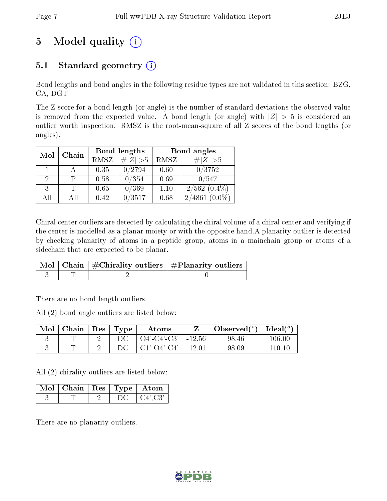# 5 Model quality  $(i)$

# 5.1 Standard geometry  $(i)$

Bond lengths and bond angles in the following residue types are not validated in this section: BZG, CA, DGT

The Z score for a bond length (or angle) is the number of standard deviations the observed value is removed from the expected value. A bond length (or angle) with  $|Z| > 5$  is considered an outlier worth inspection. RMSZ is the root-mean-square of all Z scores of the bond lengths (or angles).

| Mol | Chain |             | Bond lengths | Bond angles |                                   |  |  |
|-----|-------|-------------|--------------|-------------|-----------------------------------|--|--|
|     |       | <b>RMSZ</b> | $\ Z\  > 5$  | RMSZ        | # $ Z >5$                         |  |  |
|     |       | 0.35        | 0/2794       | 0.60        | 0/3752                            |  |  |
| 2   |       | 0.58        | 0/354        | 0.69        | 0/547                             |  |  |
| 3   |       | 0.65        | 0/369        | 1.10        | $2/562$ $(0.4\%)$                 |  |  |
| AĦ  | AII   | 0.42        | /3517        | 0.68        | $^{\prime}4861$<br>2 <sub>1</sub> |  |  |

Chiral center outliers are detected by calculating the chiral volume of a chiral center and verifying if the center is modelled as a planar moiety or with the opposite hand.A planarity outlier is detected by checking planarity of atoms in a peptide group, atoms in a mainchain group or atoms of a sidechain that are expected to be planar.

|  | $\lceil \, \text{Mol} \, \rceil$ Chain $\mid \# \text{Chirality outliers} \mid \# \text{Planarity outliers} \mid$ |
|--|-------------------------------------------------------------------------------------------------------------------|
|  |                                                                                                                   |

There are no bond length outliers.

All (2) bond angle outliers are listed below:

| Mol | Chain | $\vert$ Res $\vert$ | $\mathbf{T}_{\mathbf{V}}$ $\mathbf{p}$ | Atoms       |          | Observed $\binom{o}{0}$ | $\text{Ideal}({}^o)$ |
|-----|-------|---------------------|----------------------------------------|-------------|----------|-------------------------|----------------------|
|     |       | -                   |                                        | O4'-C4'-C3' | $-12.56$ | 98.46                   | $106.00\,$           |
|     |       |                     |                                        | C1'-O4'-C4' | $-12.01$ | 98.09                   |                      |

All (2) chirality outliers are listed below:

| $\mid$ Mol $\mid$ Chain $\mid$ Res $\mid$ Type $\mid$ Atom |  |         |
|------------------------------------------------------------|--|---------|
|                                                            |  | C4'.C3' |

There are no planarity outliers.

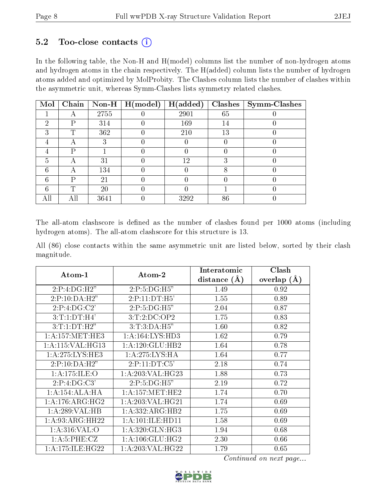### 5.2 Too-close contacts  $(i)$

In the following table, the Non-H and H(model) columns list the number of non-hydrogen atoms and hydrogen atoms in the chain respectively. The H(added) column lists the number of hydrogen atoms added and optimized by MolProbity. The Clashes column lists the number of clashes within the asymmetric unit, whereas Symm-Clashes lists symmetry related clashes.

| Mol |     | Chain   Non-H | H (model) | H(added) | Clashes | $\mathbf{Symm}\text{-}\mathrm{Class}$ |
|-----|-----|---------------|-----------|----------|---------|---------------------------------------|
|     |     | 2755          |           | 2901     | 65      |                                       |
| 2   | P   | 314           |           | 169      | 14      |                                       |
| 3   | ௱   | 362           |           | 210      | 13      |                                       |
| 4   | Η   | ٠,            |           |          |         |                                       |
|     | P   |               |           |          |         |                                       |
| 5   | А   | 31            |           | 12       | 3       |                                       |
| 6   | А   | 134           |           |          |         |                                       |
| 6   | D   | 21            |           |          |         |                                       |
| 6   | ጥ   | 20            |           |          |         |                                       |
|     | Αll | 3641          |           | 3292     | 86      |                                       |

The all-atom clashscore is defined as the number of clashes found per 1000 atoms (including hydrogen atoms). The all-atom clashscore for this structure is 13.

All (86) close contacts within the same asymmetric unit are listed below, sorted by their clash magnitude.

| Atom-1                       | Atom-2               | Interatomic    | Clash         |
|------------------------------|----------------------|----------------|---------------|
|                              |                      | distance $(A)$ | overlap $(A)$ |
| 2:P:4:DG:H2"                 | 2:P:5:DG:H5"         | 1.49           | 0.92          |
| 2:P:10:DA:H2"                | 2:P:11:DT:H5'        | 1.55           | 0.89          |
| 2:P:4:DG:C2'                 | 2:P:5:DG:H5"         | 2.04           | 0.87          |
| 3:T:1:DT:H4'                 | 3:T:2:D C:OP2        | 1.75           | 0.83          |
| 3:T:1:DT:H2"                 | 3:T:3:DA:H5"         | 1.60           | 0.82          |
| 1: A: 157: MET: HE3          | 1: A: 164: LYS: HD3  | 1.62           | 0.79          |
| 1:A:115:VAL:HG13             | 1:A:120:GLU:HB2      | 1.64           | 0.78          |
| 1: A:275:LYS:HE3             | 1: A:275:LYS:HA      | 1.64           | 0.77          |
| 2:P:10:DA:H2"                | 2:P:11:DT:C5'        | 2.18           | 0.74          |
| 1:A:175:ILE:O                | 1:A:203:VAL:HG23     | 1.88           | 0.73          |
| 2:P:4:DG:C3'                 | 2:P:5:DG:H5"         | 2.19           | 0.72          |
| 1:A:154:ALA:HA               | 1: A:157: MET:HE2    | 1.74           | 0.70          |
| $1:A:176:ARG:H\overline{G2}$ | 1: A:203: VAL:HG21   | 1.74           | 0.69          |
| 1:A:289:VAL:HB               | 1:A:332:ARG:HB2      | 1.75           | 0.69          |
| 1: A:93: ARG: HH22           | 1: A: 101: ILE: HD11 | 1.58           | 0.69          |
| 1: A:316: VAL:O              | 1: A:320: GLN: HG3   | 1.94           | 0.68          |
| 1: A:5: PHE: CZ              | 1:A:106:GLU:HG2      | 2.30           | 0.66          |
| 1: A:175: ILE: HG22          | 1: A:203:VAL:HG22    | 1.79           | 0.65          |

Continued on next page...

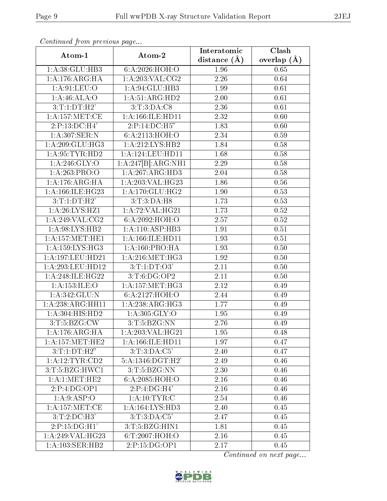| Atom-1                     | Atom-2               | Interatomic       | Clash           |
|----------------------------|----------------------|-------------------|-----------------|
|                            |                      | distance $(A)$    | overlap $(\AA)$ |
| 1:A:38:GLU:HB3             | 6:A:2026:HOH:O       | 1.96              | 0.65            |
| 1: A:176: ARG: HA          | 1: A:203:VAL:CG2     | 2.26              | 0.64            |
| 1: A:91: LEU: O            | 1:A:94:GLU:HB3       | 1.99              | 0.61            |
| 1:A:46:ALA:O               | 1:A:51:ARG:HD2       | 2.00              | 0.61            |
| 3:T:1:DT:H2'               | 3: T: 3: DA: C8      | 2.36              | 0.61            |
| 1:A:157:MET:CE             | 1:A:166:ILE:HD11     | 2.32              | 0.60            |
| 2:P:13:DC:H4'              | 2:P:14:DC:H5"        | 1.83              | 0.60            |
| 1:A:307:SER:N              | 6:A:2113:HOH:O       | 2.34              | 0.59            |
| 1:A:209:GLU:HG3            | 1:A:212:LYS:HB2      | 1.84              | 0.58            |
| 1: A:95:TYR:HD2            | 1: A: 124: LEU: HD11 | 1.68              | 0.58            |
| $1:A:246:\overline{GLY:O}$ | 1:A:247[B]:ARG:NH1   | 2.29              | 0.58            |
| 1:A:263:PRO:O              | 1:A:267:ARG:HD3      | 2.04              | 0.58            |
| 1:A:176:ARG:HA             | 1:A:203:VAL:HG23     | 1.86              | $0.56\,$        |
| 1:A:166:ILE:HG23           | 1:A:170:GLU:HG2      | 1.90              | 0.53            |
| 3:T:1:DT:H2'               | 3:T:3:DA:H8          | 1.73              | 0.53            |
| 1: A:26: LYS:HZ1           | 1:A:72:VAL:H G21     | 1.73              | 0.52            |
| $1:$ A:249:VAL:CG2         | 6:A:2092:HOH:O       | $\overline{2.57}$ | 0.52            |
| 1:A:98:LYS:HB2             | 1:A:110:ASP:HB3      | 1.91              | 0.51            |
| 1: A: 157: MET: HE1        | 1:A:166:ILE:HD11     | $\overline{1.93}$ | 0.51            |
| 1: A: 159: LYS: HG3        | 1: A: 160: PRO:HA    | 1.93              | 0.50            |
| 1:A:197:LEU:HD21           | 1: A:216:MET:HG3     | 1.92              | 0.50            |
| 1:A:293:LEU:HD12           | 3:T:1:DT:O3'         | 2.11              | 0.50            |
| 1:A:248:ILE:HG22           | 3:T:6:DG:OP2         | 2.11              | 0.50            |
| 1: A: 153: ILE: O          | 1:A:157:MET:HG3      | 2.12              | 0.49            |
| 1:A:342:GLU:N              | 6:A:2127:HOH:O       | 2.44              | 0.49            |
| 1:A:238:ARG:HH11           | 1: A:238: ARG:HG3    | 1.77              | 0.49            |
| 1:A:304:HIS:HD2            | 1: A:305: GLY:O      | 1.95              | 0.49            |
| 3: T: 5: BZG: CW           | 3: T: 5: BZG: NN     | 2.76              | 0.49            |
| 1: A:176: ARG: HA          | 1: A:203:VAL:HG21    | 1.95              | 0.48            |
| 1: A:157: MET:HE2          | 1: A: 166: ILE: HD11 | 1.97              | 0.47            |
| 3:T:1:DT:H2"               | 3: T: 3:D A: C5'     | 2.40              | 0.47            |
| 1: A:12:TYR:CD2            | 5: A: 1346: DGT:H2'  | 2.49              | 0.46            |
| 3: T: 5: BZG: HWC1         | 3: T: 5: BZG: NN     | 2.30              | 0.46            |
| 1: A:1: MET:HE2            | 6:A:2085:HOH:O       | 2.16              | 0.46            |
| 2:P:4:DG:OP1               | 2:P:4:DG:H4'         | 2.16              | 0.46            |
| 1: A:9: ASP:O              | 1: A:10:TYR:C        | 2.54              | 0.46            |
| 1:A:157:MET:CE             | 1: A: 164: LYS: HD3  | 2.40              | 0.45            |
| 3: T: 2:DC: H3'            | 3:T:3:DA:C5'         | 2.47              | 0.45            |
| 2:P:15:DG:H1'              | 3:T:5:BZG:HIN1       | 1.81              | 0.45            |
| 1:A:249:VAL:HG23           | 6:T:2007:HOH:O       | 2.16              | 0.45            |
| 1:A:103:SER:HB2            | 2:P:15:DG:OP1        | 2.17              | 0.45            |

Continued from previous page...

Continued on next page...

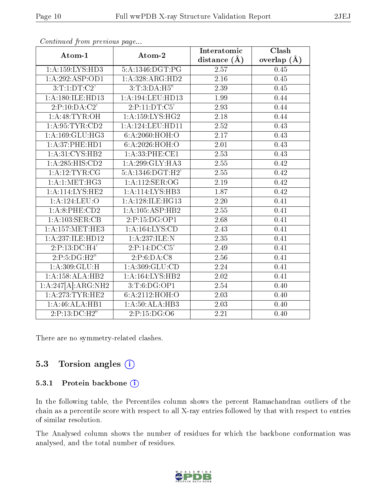| Atom-1              | Atom-2               | Interatomic       | Clash         |
|---------------------|----------------------|-------------------|---------------|
|                     |                      | distance $(A)$    | overlap $(A)$ |
| 1: A: 159: LYS: HD3 | 5:A:1346:DGT:PG      | 2.57              | 0.45          |
| 1:A:292:ASP:OD1     | 1:A:328:ARG:HD2      | $\overline{2.16}$ | 0.45          |
| 3:T:1:DT:C2'        | 3: T: 3: DA: H5"     | 2.39              | 0.45          |
| 1: A:180:ILE:HD13   | 1:A:194:LEU:HD13     | 1.99              | 0.44          |
| 2:P:10:DA:C2'       | 2:P:11:DT:C5'        | 2.93              | 0.44          |
| 1: A:48: TYR: OH    | 1: A: 159: LYS: HG2  | 2.18              | 0.44          |
| 1: A:95:TYR:CD2     | 1:A:124:LEU:HD11     | 2.52              | 0.43          |
| 1: A:169: GLU:HG3   | 6: A:2060:HOH:O      | 2.17              | 0.43          |
| 1:A:37:PHE:HD1      | 6:A:2026:HOH:O       | 2.01              | 0.43          |
| 1: A:31: CYS:HB2    | 1: A:33: PHE:CE1     | 2.53              | 0.43          |
| 1: A:285: HIS: CD2  | 1:A:299:GLY:HA3      | 2.55              | 0.42          |
| 1: A:12:TYR:CG      | 5: A: 1346: DGT: H2' | $\overline{2.55}$ | 0.42          |
| 1: A:1: MET:HG3     | 1:A:112:SER:OG       | 2.19              | 0.42          |
| $1:$ A:114:LYS:HE2  | 1:A:114:LYS:HB3      | $\overline{1.87}$ | 0.42          |
| 1: A: 124: LEU: O   | 1:A:128:ILE:HG13     | 2.20              | 0.41          |
| 1:A:8:PHE:CD2       | 1:A:105:ASP:HB2      | 2.55              | 0.41          |
| 1: A: 103: SER: CB  | 2:P:15:DG:OP1        | 2.68              | 0.41          |
| 1: A: 157: MET: HE3 | 1: A: 164: LYS: CD   | $\overline{2.43}$ | 0.41          |
| 1:A:237:ILE:HD12    | 1:A:237:ILE:N        | 2.35              | 0.41          |
| 2:P:13:DC:H4'       | 2:P:14:DC:C5'        | 2.49              | 0.41          |
| 2:P:5:DG:H2"        | 2:P:6:DA:C8          | 2.56              | 0.41          |
| 1: A:309: GLU:H     | 1: A:309: GLU:CD     | 2.24              | 0.41          |
| 1:A:158:ALA:HB2     | 1:A:164:LYS:HB2      | 2.02              | 0.41          |
| 1:A:247[A]:ARG:NH2  | 3:T:6:DG:OP1         | 2.54              | 0.40          |
| 1: A:273:TYR:HE2    | 6:A:2112:HOH:O       | 2.03              | 0.40          |
| 1:A:46:ALA:HB1      | 1: A:50:ALA:HB3      | 2.03              | 0.40          |
| 2:P:13:DC:H2"       | 2:P:15:DG:O6         | 2.21              | 0.40          |

Continued from previous page...

There are no symmetry-related clashes.

### 5.3 Torsion angles (i)

#### 5.3.1 Protein backbone (i)

In the following table, the Percentiles column shows the percent Ramachandran outliers of the chain as a percentile score with respect to all X-ray entries followed by that with respect to entries of similar resolution.

The Analysed column shows the number of residues for which the backbone conformation was analysed, and the total number of residues.

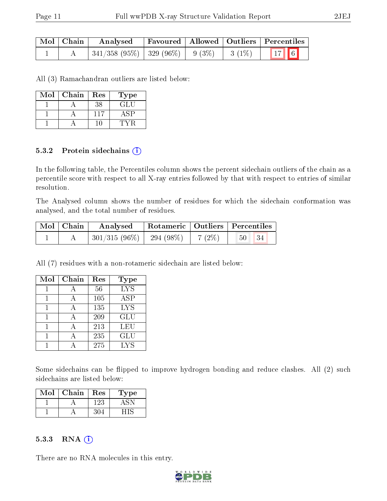| Mol   Chain | Analysed |  | Favoured   Allowed   Outliers   Percentiles |
|-------------|----------|--|---------------------------------------------|
|             |          |  |                                             |

All (3) Ramachandran outliers are listed below:

| Mol | Chain | Res | Type |
|-----|-------|-----|------|
|     |       | 38  | GLU  |
|     |       | 117 |      |
|     |       |     |      |

#### 5.3.2 Protein sidechains  $(i)$

In the following table, the Percentiles column shows the percent sidechain outliers of the chain as a percentile score with respect to all X-ray entries followed by that with respect to entries of similar resolution.

The Analysed column shows the number of residues for which the sidechain conformation was analysed, and the total number of residues.

| $\mid$ Mol $\mid$ Chain $\mid$ | Analysed                                           |  | Rotameric   Outliers   Percentiles |
|--------------------------------|----------------------------------------------------|--|------------------------------------|
|                                | $\mid 301/315 (96\%) \mid 294 (98\%) \mid 7 (2\%)$ |  | 50 <sub>1</sub><br> 34             |

All (7) residues with a non-rotameric sidechain are listed below:

| Mol | Chain | Res | Type       |
|-----|-------|-----|------------|
|     | А     | 56  | <b>LYS</b> |
|     |       | 105 | <b>ASP</b> |
|     |       | 135 | <b>LYS</b> |
|     |       | 209 | <b>GLU</b> |
|     |       | 213 | LEU        |
|     |       | 235 | GLU        |
|     |       | 275 | LYS        |

Some sidechains can be flipped to improve hydrogen bonding and reduce clashes. All (2) such sidechains are listed below:

| Mol | Chain | Res | 1 ype |
|-----|-------|-----|-------|
|     |       | +23 |       |
|     |       |     |       |

#### 5.3.3 RNA (i)

There are no RNA molecules in this entry.

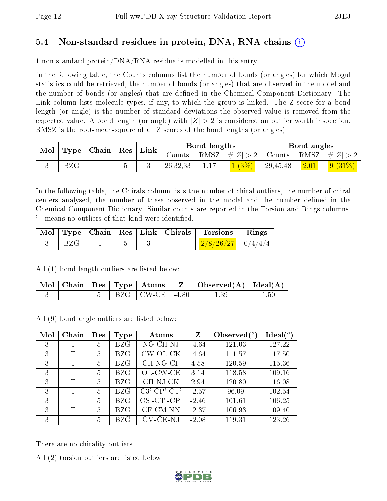### 5.4 Non-standard residues in protein, DNA, RNA chains (i)

1 non-standard protein/DNA/RNA residue is modelled in this entry.

In the following table, the Counts columns list the number of bonds (or angles) for which Mogul statistics could be retrieved, the number of bonds (or angles) that are observed in the model and the number of bonds (or angles) that are dened in the Chemical Component Dictionary. The Link column lists molecule types, if any, to which the group is linked. The Z score for a bond length (or angle) is the number of standard deviations the observed value is removed from the expected value. A bond length (or angle) with  $|Z| > 2$  is considered an outlier worth inspection. RMSZ is the root-mean-square of all Z scores of the bond lengths (or angles).

| Mol | $\perp$ Type $\parallel$ Chain $\parallel$ Res $\parallel$ |  | $^{\dagger}$ Link | Bond lengths |          |         | Bond angles   |          |         |           |
|-----|------------------------------------------------------------|--|-------------------|--------------|----------|---------|---------------|----------|---------|-----------|
|     |                                                            |  |                   | Counts       | RMSZ     | #Z  > 2 | Counts   RMSZ |          | $\# Z $ |           |
|     | BZG                                                        |  |                   |              | 26,32,33 |         | 1(3%)         | 29,45,48 | 2.01    | $9(31\%)$ |

In the following table, the Chirals column lists the number of chiral outliers, the number of chiral centers analysed, the number of these observed in the model and the number defined in the Chemical Component Dictionary. Similar counts are reported in the Torsion and Rings columns. '-' means no outliers of that kind were identified.

|       |  |  | Mol   Type   Chain   Res   Link   Chirals   Torsions   Rings |  |
|-------|--|--|--------------------------------------------------------------|--|
| ∣ BZG |  |  | $\mid$ 2/8/26/27 $\mid$ 0/4/4/4 $\mid$                       |  |

All (1) bond length outliers are listed below:

|  |  |                       | $\mid$ Mol $\mid$ Chain $\mid$ Res $\mid$ Type $\mid$ Atoms $\mid$ $\mid$ Z $\mid$ Observed(Å) $\mid$ Ideal(Å) $\mid$ |     |
|--|--|-----------------------|-----------------------------------------------------------------------------------------------------------------------|-----|
|  |  | $BZG$   CW-CE   -4.80 |                                                                                                                       | .50 |

All (9) bond angle outliers are listed below:

| Mol | Chain | Res | Type       | Atoms                            | Z       | Observed $({}^{\circ})$ | Ideal $(°)$ |
|-----|-------|-----|------------|----------------------------------|---------|-------------------------|-------------|
| 3   | T     | 5   | <b>BZG</b> | NG-CH-NJ                         | $-4.64$ | 121.03                  | 127.22      |
| 3   | T     | 5   | <b>BZG</b> | $CW$ -OL-CK                      | $-4.64$ | 111.57                  | 117.50      |
| 3   | T     | 5   | <b>BZG</b> | CH-NG-CF                         | 4.58    | 120.59                  | 115.36      |
| 3   | T     | 5   | BZG        | OL-CW-CE                         | 3.14    | 118.58                  | 109.16      |
| 3   | T     | 5   | <b>BZG</b> | CH-NJ-CK                         | 2.94    | 120.80                  | 116.08      |
| 3   | T     | 5   | BZG        | $C3$ - $CP$ $\cdot$ $CT$ $\cdot$ | $-2.57$ | 96.09                   | 102.54      |
| 3   | T     | 5   | <b>BZG</b> | $OS'-CT'-CP'$                    | $-2.46$ | 101.61                  | 106.25      |
| 3   | T     | 5   | BZG        | CF-CM-NN                         | $-2.37$ | 106.93                  | 109.40      |
| 3   | T     | 5   | BZG        | CM-CK-NJ                         | $-2.08$ | 119.31                  | 123.26      |

There are no chirality outliers.

All (2) torsion outliers are listed below:

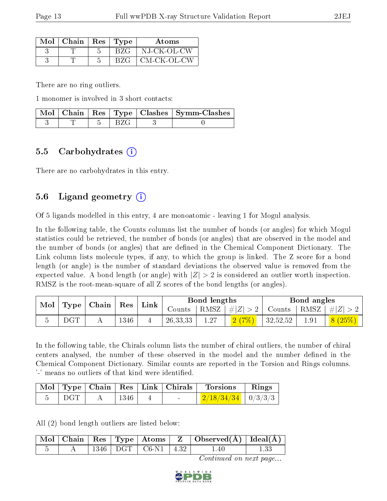| $Mol$   Chain   Res   Type |      | Atoms        |
|----------------------------|------|--------------|
|                            | BZG  | NJ-CK-OL-CW  |
|                            | BZG. | ∣CM-CK-OL-CW |

There are no ring outliers.

1 monomer is involved in 3 short contacts:

|  |        | Mol   Chain   Res   Type   Clashes   Symm-Clashes |
|--|--------|---------------------------------------------------|
|  | -277 C |                                                   |

### 5.5 Carbohydrates (i)

There are no carbohydrates in this entry.

## 5.6 Ligand geometry (i)

Of 5 ligands modelled in this entry, 4 are monoatomic - leaving 1 for Mogul analysis.

In the following table, the Counts columns list the number of bonds (or angles) for which Mogul statistics could be retrieved, the number of bonds (or angles) that are observed in the model and the number of bonds (or angles) that are defined in the Chemical Component Dictionary. The Link column lists molecule types, if any, to which the group is linked. The Z score for a bond length (or angle) is the number of standard deviations the observed value is removed from the expected value. A bond length (or angle) with  $|Z| > 2$  is considered an outlier worth inspection. RMSZ is the root-mean-square of all Z scores of the bond lengths (or angles).

| Mol |              | Res<br>$\mid$ Type $\mid$ Chain $\mid$ | $^{\shortmid}$ Link |  | Bond lengths |                   | Bond angles |               |  |         |
|-----|--------------|----------------------------------------|---------------------|--|--------------|-------------------|-------------|---------------|--|---------|
|     |              |                                        |                     |  | Counts :     | RMSZ <sup>1</sup> | #Z  > 2     | Counts   RMSZ |  | $\# Z $ |
|     | $_{\rm DGT}$ |                                        | 1346                |  | 26, 33, 33   | 1.27              |             | 32,52,52      |  | 8(25%)  |

In the following table, the Chirals column lists the number of chiral outliers, the number of chiral centers analysed, the number of these observed in the model and the number defined in the Chemical Component Dictionary. Similar counts are reported in the Torsion and Rings columns. '-' means no outliers of that kind were identified.

|     |            | Mol   Type   Chain   Res   Link   Chirals | Torsions                     | Rings |
|-----|------------|-------------------------------------------|------------------------------|-------|
| DGT | $\pm$ 1346 | and the state of the                      | $\frac{2/18/34/34}{0/3/3/3}$ |       |

All (2) bond length outliers are listed below:

|  |  |                             | $\mid$ Mol $\mid$ Chain $\mid$ Res $\mid$ Type $\mid$ Atoms $\mid$ Z $\mid$ Observed(Å) $\mid$ Ideal(Å) $\mid$ |  |
|--|--|-----------------------------|----------------------------------------------------------------------------------------------------------------|--|
|  |  | $1346$   DGT   C6-N1   4.32 | $1.40^{\circ}$                                                                                                 |  |

Continued on next page...

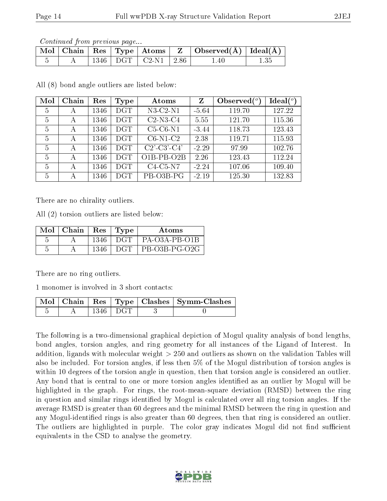Continued from previous page...

|  |      | $\mid$ Mol $\mid$ Chain $\mid$ Res $\mid$ Type $\mid$ Atoms $\mid$ . | $\mathbf{Z}$ | $\vert$ Observed( $\AA$ ) $\vert$ Ideal( $\AA$ ) |  |
|--|------|----------------------------------------------------------------------|--------------|--------------------------------------------------|--|
|  | 1346 | $\vert$ DGT $\vert$ C2-N1 $\vert$ 2.86                               |              | .40                                              |  |

All (8) bond angle outliers are listed below:

| Mol | Chain | Res  | Type             | Atoms                                                 | Z       | Observed $\binom{o}{c}$ | Ideal(°) |
|-----|-------|------|------------------|-------------------------------------------------------|---------|-------------------------|----------|
| 5   | А     | 1346 | DGT.             | $N3-C2-N1$                                            | $-5.64$ | 119.70                  | 127.22   |
| 5   | А     | 1346 | DGT.             | $C2-N3-C4$                                            | 5.55    | 121.70                  | 115.36   |
| 5   | А     | 1346 | DGT.             | $C5-C6-N1$                                            | $-3.44$ | 118.73                  | 123.43   |
| 5   | А     | 1346 | DGT.             | $C6-N1-C2$                                            | 2.38    | 119.71                  | 115.93   |
| 5   | А     | 1346 | $\overline{D}GT$ | $C2$ <sup>-</sup> $C3$ <sup>-</sup> $C4$ <sup>'</sup> | $-2.29$ | 97.99                   | 102.76   |
| 5   | А     | 1346 | <b>DGT</b>       | $O1B$ -PB- $O2B$                                      | 2.26    | 123.43                  | 112.24   |
| 5   | А     | 1346 | <b>DGT</b>       | $C4-C5-N7$                                            | $-2.24$ | 107.06                  | 109.40   |
| 5   | А     | 1346 | <b>DGT</b>       | PB-O3B-PG                                             | $-2.19$ | 125.30                  | 132.83   |

There are no chirality outliers.

All (2) torsion outliers are listed below:

| $Mol$   Chain |       | Res   Type | Atoms         |
|---------------|-------|------------|---------------|
|               | -1346 | DGT        | PA-03A-PB-01B |
|               | 1346  | DGT        | PB-O3B-PG-O2G |

There are no ring outliers.

1 monomer is involved in 3 short contacts:

|  |                          | Mol   Chain   Res   Type   Clashes   Symm-Clashes |
|--|--------------------------|---------------------------------------------------|
|  | $\vert$ 1346 $\vert$ DGT |                                                   |

The following is a two-dimensional graphical depiction of Mogul quality analysis of bond lengths, bond angles, torsion angles, and ring geometry for all instances of the Ligand of Interest. In addition, ligands with molecular weight > 250 and outliers as shown on the validation Tables will also be included. For torsion angles, if less then 5% of the Mogul distribution of torsion angles is within 10 degrees of the torsion angle in question, then that torsion angle is considered an outlier. Any bond that is central to one or more torsion angles identified as an outlier by Mogul will be highlighted in the graph. For rings, the root-mean-square deviation (RMSD) between the ring in question and similar rings identified by Mogul is calculated over all ring torsion angles. If the average RMSD is greater than 60 degrees and the minimal RMSD between the ring in question and any Mogul-identified rings is also greater than 60 degrees, then that ring is considered an outlier. The outliers are highlighted in purple. The color gray indicates Mogul did not find sufficient equivalents in the CSD to analyse the geometry.

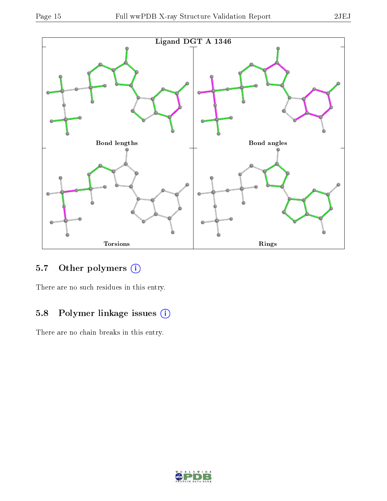

### 5.7 [O](https://www.wwpdb.org/validation/2017/XrayValidationReportHelp#nonstandard_residues_and_ligands)ther polymers (i)

There are no such residues in this entry.

# 5.8 Polymer linkage issues (i)

There are no chain breaks in this entry.

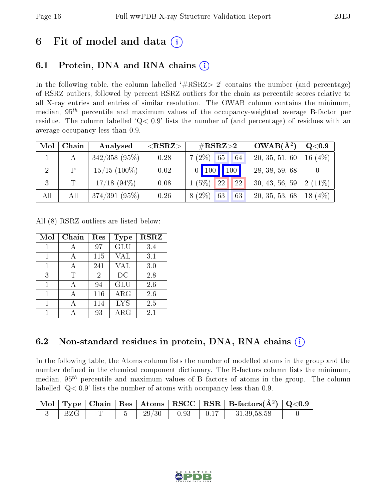# 6 Fit of model and data  $\left( \cdot \right)$

# 6.1 Protein, DNA and RNA chains (i)

In the following table, the column labelled  $#RSRZ>2'$  contains the number (and percentage) of RSRZ outliers, followed by percent RSRZ outliers for the chain as percentile scores relative to all X-ray entries and entries of similar resolution. The OWAB column contains the minimum, median,  $95<sup>th</sup>$  percentile and maximum values of the occupancy-weighted average B-factor per residue. The column labelled ' $Q< 0.9$ ' lists the number of (and percentage) of residues with an average occupancy less than 0.9.

| Mol            | Chain | Analysed        | ${ <\hspace{-1.5pt}{\mathrm{RSRZ}} \hspace{-1.5pt}>}$ | $\#\text{RSRZ}{>}2$  | $OWAB(A^2)$    | $Q<$ 0.9   |
|----------------|-------|-----------------|-------------------------------------------------------|----------------------|----------------|------------|
|                |       | $342/358$ (95%) | 0.28                                                  | $7(2\%)$ 65<br>64    | 20, 35, 51, 60 | 16 $(4%)$  |
| $\overline{2}$ | P     | $15/15$ (100\%) | 0.02                                                  | $0$   100   100      | 28, 38, 59, 68 |            |
| 3              | T     | $17/18$ (94\%)  | 0.08                                                  | 22<br>$1(5\%)$<br>22 | 30, 43, 56, 59 | $2(11\%)$  |
| All            | All   | 374/391(95%)    | 0.26                                                  | $8(2\%)$<br>63<br>63 | 20, 35, 53, 68 | (4%)<br>18 |

All (8) RSRZ outliers are listed below:

| Mol | Chain | Res | <b>Type</b> | <b>RSRZ</b> |
|-----|-------|-----|-------------|-------------|
|     |       | 97  | GLU         | 3.4         |
|     |       | 115 | VAL         | 3.1         |
| 1   | А     | 241 | <b>VAL</b>  | 3.0         |
| 3   | T     | 2   | DC          | 2.8         |
| 1   | A     | 94  | GLU         | 2.6         |
|     |       | 116 | ARG         | 2.6         |
| 1   |       | 114 | <b>LYS</b>  | 2.5         |
|     |       | 93  | $\rm{ARG}$  | 2.1         |

## 6.2 Non-standard residues in protein, DNA, RNA chains  $(i)$

In the following table, the Atoms column lists the number of modelled atoms in the group and the number defined in the chemical component dictionary. The B-factors column lists the minimum, median,  $95<sup>th</sup>$  percentile and maximum values of B factors of atoms in the group. The column labelled  $Q < 0.9$ ' lists the number of atoms with occupancy less than 0.9.

|  |  |       |      |      | Mol   Type   Chain   Res   Atoms   RSCC   RSR   B-factors $(A^2)$   Q<0.9 |  |
|--|--|-------|------|------|---------------------------------------------------------------------------|--|
|  |  | 29/30 | 0.93 | 0.17 | 31, 39, 58, 58                                                            |  |

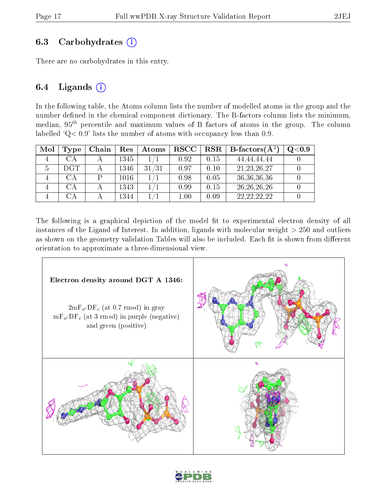### 6.3 Carbohydrates (i)

There are no carbohydrates in this entry.

### 6.4 Ligands  $(i)$

In the following table, the Atoms column lists the number of modelled atoms in the group and the number defined in the chemical component dictionary. The B-factors column lists the minimum, median,  $95<sup>th</sup>$  percentile and maximum values of B factors of atoms in the group. The column labelled  $Q < 0.9$ ' lists the number of atoms with occupancy less than 0.9.

| Mol | Type             | Chain | Res  | Atoms | <b>RSCC</b> | $_{\rm RSR}$ | <b>B</b> -factors( $\AA^2$ ) | Q <sub>0.9</sub> |
|-----|------------------|-------|------|-------|-------------|--------------|------------------------------|------------------|
|     | СA               |       | 1345 |       | 0.92        | 0.15         | 44, 44, 44, 44               |                  |
|     | DGT              |       | 1346 | 31/31 | 0.97        | 0.10         | 21, 23, 26, 27               |                  |
|     | CА               |       | 1016 |       | 0.98        | 0.05         | 36, 36, 36, 36               |                  |
|     | $\Delta A$       |       | 1343 |       | 0.99        | 0.15         | 26, 26, 26, 26               |                  |
|     | $\alpha_{\rm A}$ |       | 1344 |       | $1.00\,$    | 0.09         | 22, 22, 22, 22               |                  |

The following is a graphical depiction of the model fit to experimental electron density of all instances of the Ligand of Interest. In addition, ligands with molecular weight  $> 250$  and outliers as shown on the geometry validation Tables will also be included. Each fit is shown from different orientation to approximate a three-dimensional view.